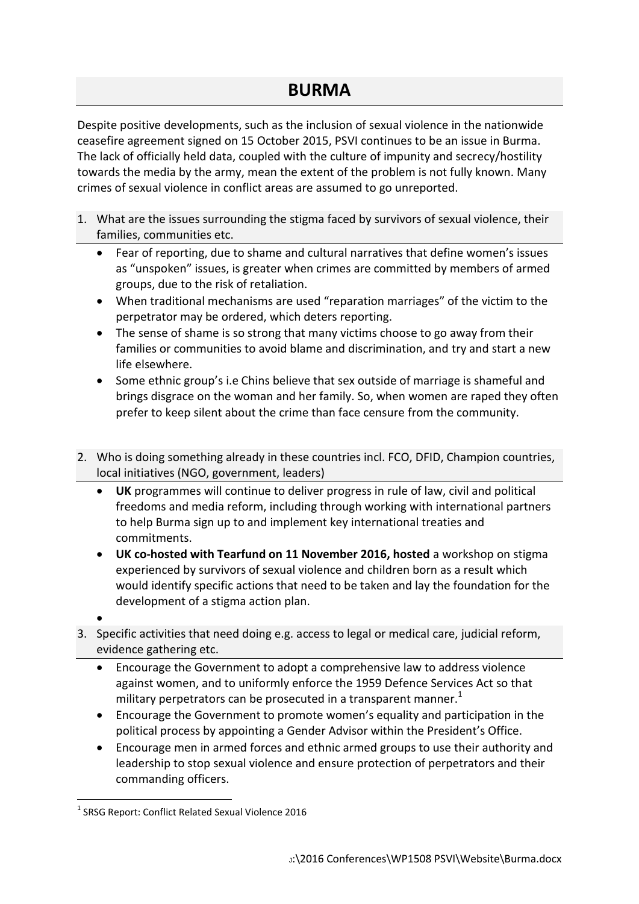## **BURMA**

Despite positive developments, such as the inclusion of sexual violence in the nationwide ceasefire agreement signed on 15 October 2015, PSVI continues to be an issue in Burma. The lack of officially held data, coupled with the culture of impunity and secrecy/hostility towards the media by the army, mean the extent of the problem is not fully known. Many crimes of sexual violence in conflict areas are assumed to go unreported.

- 1. What are the issues surrounding the stigma faced by survivors of sexual violence, their families, communities etc.
	- Fear of reporting, due to shame and cultural narratives that define women's issues as "unspoken" issues, is greater when crimes are committed by members of armed groups, due to the risk of retaliation.
	- When traditional mechanisms are used "reparation marriages" of the victim to the perpetrator may be ordered, which deters reporting.
	- The sense of shame is so strong that many victims choose to go away from their families or communities to avoid blame and discrimination, and try and start a new life elsewhere.
	- Some ethnic group's i.e Chins believe that sex outside of marriage is shameful and brings disgrace on the woman and her family. So, when women are raped they often prefer to keep silent about the crime than face censure from the community.
- 2. Who is doing something already in these countries incl. FCO, DFID, Champion countries, local initiatives (NGO, government, leaders)
	- **UK** programmes will continue to deliver progress in rule of law, civil and political freedoms and media reform, including through working with international partners to help Burma sign up to and implement key international treaties and commitments.
	- **UK co-hosted with Tearfund on 11 November 2016, hosted** a workshop on stigma experienced by survivors of sexual violence and children born as a result which would identify specific actions that need to be taken and lay the foundation for the development of a stigma action plan.
	- $\bullet$
- 3. Specific activities that need doing e.g. access to legal or medical care, judicial reform, evidence gathering etc.
	- Encourage the Government to adopt a comprehensive law to address violence against women, and to uniformly enforce the 1959 Defence Services Act so that military perpetrators can be prosecuted in a transparent manner. $<sup>1</sup>$ </sup>
	- Encourage the Government to promote women's equality and participation in the political process by appointing a Gender Advisor within the President's Office.
	- Encourage men in armed forces and ethnic armed groups to use their authority and leadership to stop sexual violence and ensure protection of perpetrators and their commanding officers.

<sup>1</sup> <sup>1</sup> SRSG Report: Conflict Related Sexual Violence 2016